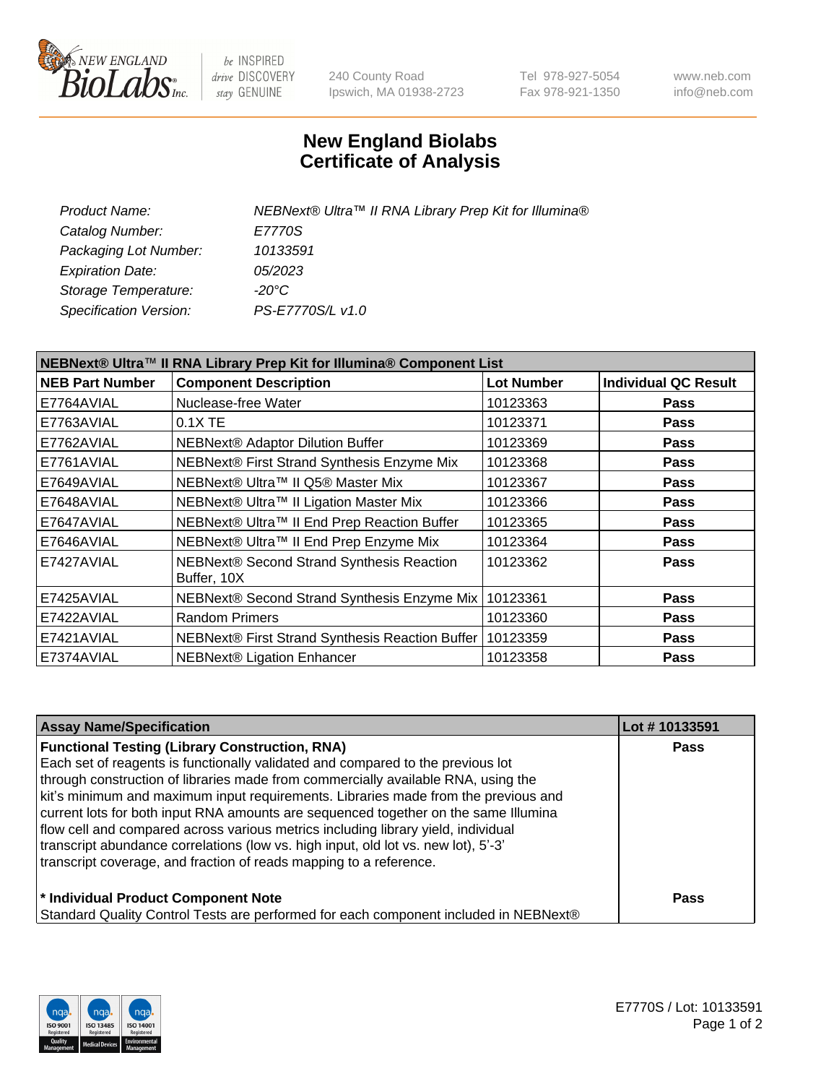

be INSPIRED drive DISCOVERY stay GENUINE

240 County Road Ipswich, MA 01938-2723 Tel 978-927-5054 Fax 978-921-1350 www.neb.com info@neb.com

## **New England Biolabs Certificate of Analysis**

| Product Name:           | NEBNext® Ultra™ II RNA Library Prep Kit for Illumina® |
|-------------------------|-------------------------------------------------------|
| Catalog Number:         | E7770S                                                |
| Packaging Lot Number:   | 10133591                                              |
| <b>Expiration Date:</b> | 05/2023                                               |
| Storage Temperature:    | -20°C                                                 |
| Specification Version:  | PS-E7770S/L v1.0                                      |
|                         |                                                       |

| NEBNext® Ultra™ II RNA Library Prep Kit for Illumina® Component List |                                                            |                   |                             |  |
|----------------------------------------------------------------------|------------------------------------------------------------|-------------------|-----------------------------|--|
| <b>NEB Part Number</b>                                               | <b>Component Description</b>                               | <b>Lot Number</b> | <b>Individual QC Result</b> |  |
| E7764AVIAL                                                           | Nuclease-free Water                                        | 10123363          | <b>Pass</b>                 |  |
| E7763AVIAL                                                           | $0.1X$ TE                                                  | 10123371          | <b>Pass</b>                 |  |
| E7762AVIAL                                                           | <b>NEBNext® Adaptor Dilution Buffer</b>                    | 10123369          | <b>Pass</b>                 |  |
| E7761AVIAL                                                           | NEBNext® First Strand Synthesis Enzyme Mix                 | 10123368          | <b>Pass</b>                 |  |
| E7649AVIAL                                                           | NEBNext® Ultra™ II Q5® Master Mix                          | 10123367          | <b>Pass</b>                 |  |
| E7648AVIAL                                                           | NEBNext® Ultra™ II Ligation Master Mix                     | 10123366          | <b>Pass</b>                 |  |
| E7647AVIAL                                                           | NEBNext® Ultra™ II End Prep Reaction Buffer                | 10123365          | <b>Pass</b>                 |  |
| E7646AVIAL                                                           | NEBNext® Ultra™ II End Prep Enzyme Mix                     | 10123364          | <b>Pass</b>                 |  |
| E7427AVIAL                                                           | NEBNext® Second Strand Synthesis Reaction<br>Buffer, 10X   | 10123362          | <b>Pass</b>                 |  |
| E7425AVIAL                                                           | NEBNext® Second Strand Synthesis Enzyme Mix   10123361     |                   | <b>Pass</b>                 |  |
| E7422AVIAL                                                           | <b>Random Primers</b>                                      | 10123360          | <b>Pass</b>                 |  |
| E7421AVIAL                                                           | NEBNext® First Strand Synthesis Reaction Buffer   10123359 |                   | <b>Pass</b>                 |  |
| E7374AVIAL                                                           | NEBNext® Ligation Enhancer                                 | 10123358          | <b>Pass</b>                 |  |

| <b>Assay Name/Specification</b>                                                      | Lot #10133591 |
|--------------------------------------------------------------------------------------|---------------|
| <b>Functional Testing (Library Construction, RNA)</b>                                | <b>Pass</b>   |
| Each set of reagents is functionally validated and compared to the previous lot      |               |
| through construction of libraries made from commercially available RNA, using the    |               |
| kit's minimum and maximum input requirements. Libraries made from the previous and   |               |
| current lots for both input RNA amounts are sequenced together on the same Illumina  |               |
| flow cell and compared across various metrics including library yield, individual    |               |
| transcript abundance correlations (low vs. high input, old lot vs. new lot), 5'-3'   |               |
| transcript coverage, and fraction of reads mapping to a reference.                   |               |
| * Individual Product Component Note                                                  | <b>Pass</b>   |
| Standard Quality Control Tests are performed for each component included in NEBNext® |               |